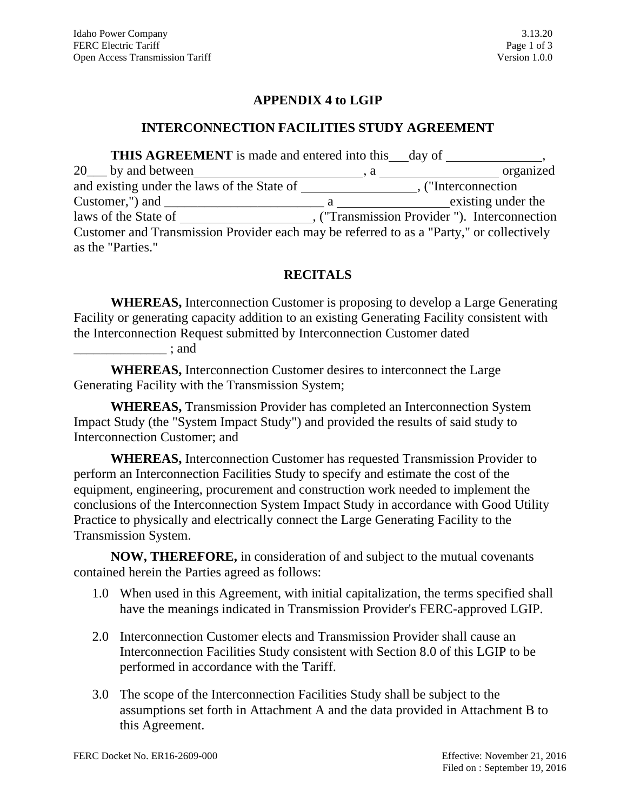# **APPENDIX 4 to LGIP**

#### **INTERCONNECTION FACILITIES STUDY AGREEMENT**

**THIS AGREEMENT** is made and entered into this day of 20\_\_\_ by and between , a organized and existing under the laws of the State of , ("Interconnection Customer,") and  $\frac{1}{\sqrt{2\pi}}$  a  $\frac{1}{\sqrt{2\pi}}$  a  $\frac{1}{\sqrt{2\pi}}$  existing under the laws of the State of , ("Transmission Provider "). Interconnection Customer and Transmission Provider each may be referred to as a "Party," or collectively as the "Parties."

# **RECITALS**

**WHEREAS,** Interconnection Customer is proposing to develop a Large Generating Facility or generating capacity addition to an existing Generating Facility consistent with the Interconnection Request submitted by Interconnection Customer dated

 $\therefore$  and

**WHEREAS,** Interconnection Customer desires to interconnect the Large Generating Facility with the Transmission System;

**WHEREAS,** Transmission Provider has completed an Interconnection System Impact Study (the "System Impact Study") and provided the results of said study to Interconnection Customer; and

**WHEREAS,** Interconnection Customer has requested Transmission Provider to perform an Interconnection Facilities Study to specify and estimate the cost of the equipment, engineering, procurement and construction work needed to implement the conclusions of the Interconnection System Impact Study in accordance with Good Utility Practice to physically and electrically connect the Large Generating Facility to the Transmission System.

**NOW, THEREFORE,** in consideration of and subject to the mutual covenants contained herein the Parties agreed as follows:

- 1.0 When used in this Agreement, with initial capitalization, the terms specified shall have the meanings indicated in Transmission Provider's FERC-approved LGIP.
- 2.0 Interconnection Customer elects and Transmission Provider shall cause an Interconnection Facilities Study consistent with Section 8.0 of this LGIP to be performed in accordance with the Tariff.
- 3.0 The scope of the Interconnection Facilities Study shall be subject to the assumptions set forth in Attachment A and the data provided in Attachment B to this Agreement.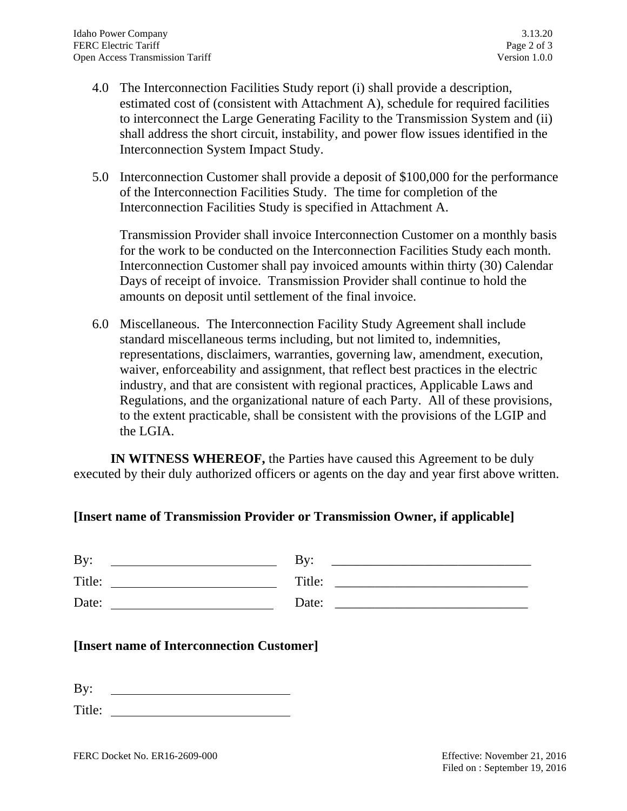- 4.0 The Interconnection Facilities Study report (i) shall provide a description, estimated cost of (consistent with Attachment A), schedule for required facilities to interconnect the Large Generating Facility to the Transmission System and (ii) shall address the short circuit, instability, and power flow issues identified in the Interconnection System Impact Study.
- 5.0 Interconnection Customer shall provide a deposit of \$100,000 for the performance of the Interconnection Facilities Study. The time for completion of the Interconnection Facilities Study is specified in Attachment A.

Transmission Provider shall invoice Interconnection Customer on a monthly basis for the work to be conducted on the Interconnection Facilities Study each month. Interconnection Customer shall pay invoiced amounts within thirty (30) Calendar Days of receipt of invoice. Transmission Provider shall continue to hold the amounts on deposit until settlement of the final invoice.

6.0 Miscellaneous. The Interconnection Facility Study Agreement shall include standard miscellaneous terms including, but not limited to, indemnities, representations, disclaimers, warranties, governing law, amendment, execution, waiver, enforceability and assignment, that reflect best practices in the electric industry, and that are consistent with regional practices, Applicable Laws and Regulations, and the organizational nature of each Party. All of these provisions, to the extent practicable, shall be consistent with the provisions of the LGIP and the LGIA.

**IN WITNESS WHEREOF,** the Parties have caused this Agreement to be duly executed by their duly authorized officers or agents on the day and year first above written.

### **[Insert name of Transmission Provider or Transmission Owner, if applicable]**

| $\mathbf{B} \mathbf{v}$ :<br><u> 1990 - John Stein, Amerikaansk politiker (</u>                                               | By: $\qquad \qquad$ |
|-------------------------------------------------------------------------------------------------------------------------------|---------------------|
| Title:                                                                                                                        |                     |
| Date:<br><u> Liste de la construcción de la construcción de la construcción de la construcción de la construcción de la c</u> | Date:               |
| <b>Insert name of Interconnection Customerl</b>                                                                               |                     |

### **[Insert name of Interconnection Customer]**

By:

Title: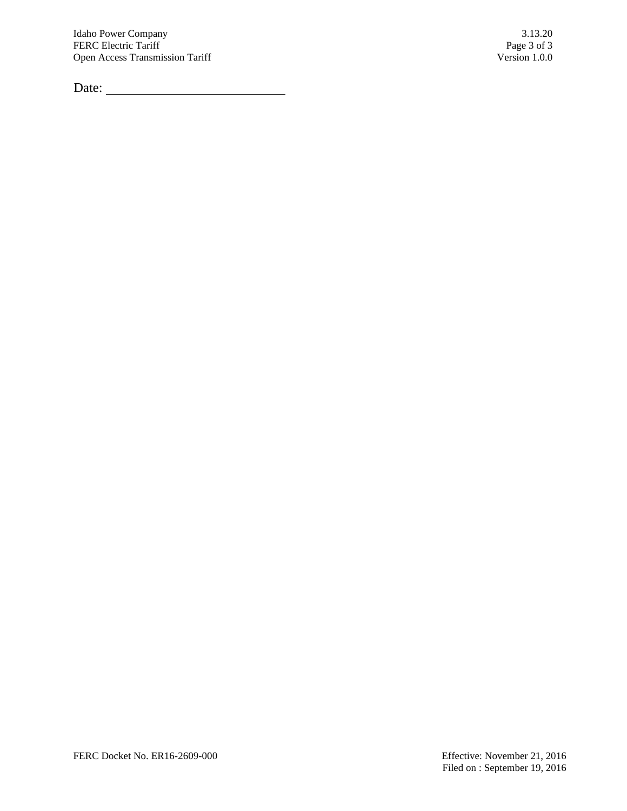Date: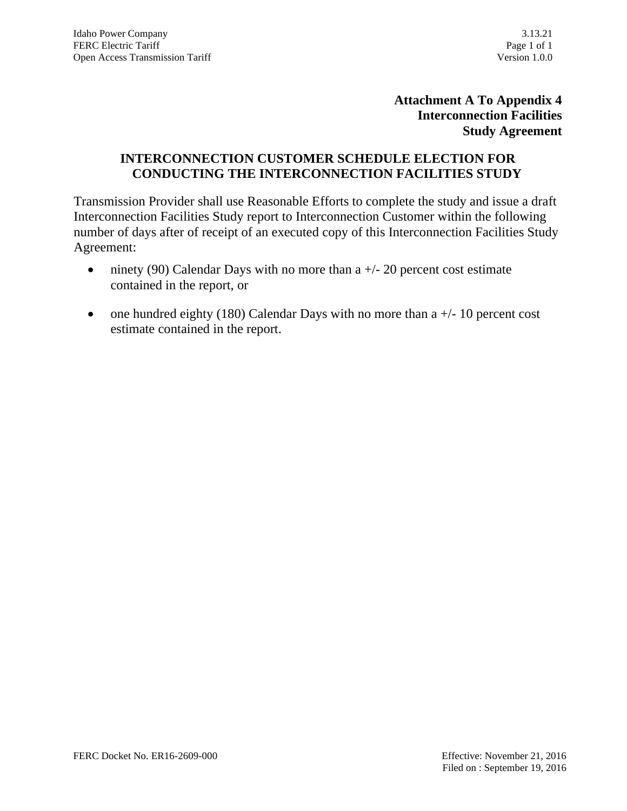# **Attachment A To Appendix 4 Interconnection Facilities Study Agreement**

#### **INTERCONNECTION CUSTOMER SCHEDULE ELECTION FOR CONDUCTING THE INTERCONNECTION FACILITIES STUDY**

Transmission Provider shall use Reasonable Efforts to complete the study and issue a draft Interconnection Facilities Study report to Interconnection Customer within the following number of days after of receipt of an executed copy of this Interconnection Facilities Study Agreement:

- ninety (90) Calendar Days with no more than  $a +/20$  percent cost estimate contained in the report, or
- one hundred eighty (180) Calendar Days with no more than  $a +/10$  percent cost estimate contained in the report.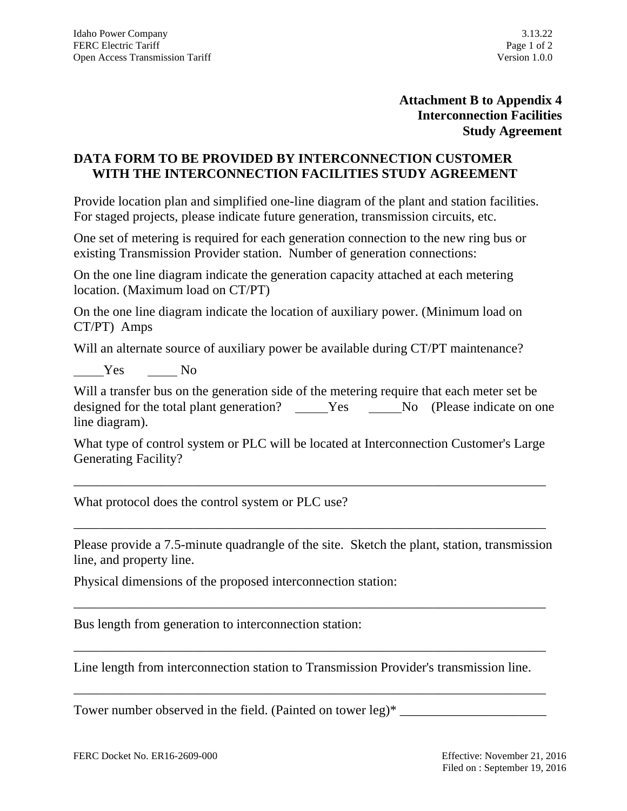# **Attachment B to Appendix 4 Interconnection Facilities Study Agreement**

### **DATA FORM TO BE PROVIDED BY INTERCONNECTION CUSTOMER WITH THE INTERCONNECTION FACILITIES STUDY AGREEMENT**

Provide location plan and simplified one-line diagram of the plant and station facilities. For staged projects, please indicate future generation, transmission circuits, etc.

One set of metering is required for each generation connection to the new ring bus or existing Transmission Provider station. Number of generation connections:

On the one line diagram indicate the generation capacity attached at each metering location. (Maximum load on CT/PT)

On the one line diagram indicate the location of auxiliary power. (Minimum load on CT/PT) Amps

Will an alternate source of auxiliary power be available during CT/PT maintenance?

Yes No

Will a transfer bus on the generation side of the metering require that each meter set be designed for the total plant generation? \_\_\_\_\_Yes \_\_\_\_\_No (Please indicate on one line diagram).

What type of control system or PLC will be located at Interconnection Customer's Large Generating Facility?

\_\_\_\_\_\_\_\_\_\_\_\_\_\_\_\_\_\_\_\_\_\_\_\_\_\_\_\_\_\_\_\_\_\_\_\_\_\_\_\_\_\_\_\_\_\_\_\_\_\_\_\_\_\_\_\_\_\_\_\_\_\_\_\_\_\_\_\_\_\_\_

\_\_\_\_\_\_\_\_\_\_\_\_\_\_\_\_\_\_\_\_\_\_\_\_\_\_\_\_\_\_\_\_\_\_\_\_\_\_\_\_\_\_\_\_\_\_\_\_\_\_\_\_\_\_\_\_\_\_\_\_\_\_\_\_\_\_\_\_\_\_\_

What protocol does the control system or PLC use?

Please provide a 7.5-minute quadrangle of the site. Sketch the plant, station, transmission line, and property line.

\_\_\_\_\_\_\_\_\_\_\_\_\_\_\_\_\_\_\_\_\_\_\_\_\_\_\_\_\_\_\_\_\_\_\_\_\_\_\_\_\_\_\_\_\_\_\_\_\_\_\_\_\_\_\_\_\_\_\_\_\_\_\_\_\_\_\_\_\_\_\_

\_\_\_\_\_\_\_\_\_\_\_\_\_\_\_\_\_\_\_\_\_\_\_\_\_\_\_\_\_\_\_\_\_\_\_\_\_\_\_\_\_\_\_\_\_\_\_\_\_\_\_\_\_\_\_\_\_\_\_\_\_\_\_\_\_\_\_\_\_\_\_

\_\_\_\_\_\_\_\_\_\_\_\_\_\_\_\_\_\_\_\_\_\_\_\_\_\_\_\_\_\_\_\_\_\_\_\_\_\_\_\_\_\_\_\_\_\_\_\_\_\_\_\_\_\_\_\_\_\_\_\_\_\_\_\_\_\_\_\_\_\_\_

Physical dimensions of the proposed interconnection station:

Bus length from generation to interconnection station:

Line length from interconnection station to Transmission Provider's transmission line.

Tower number observed in the field. (Painted on tower  $leg$ )\*